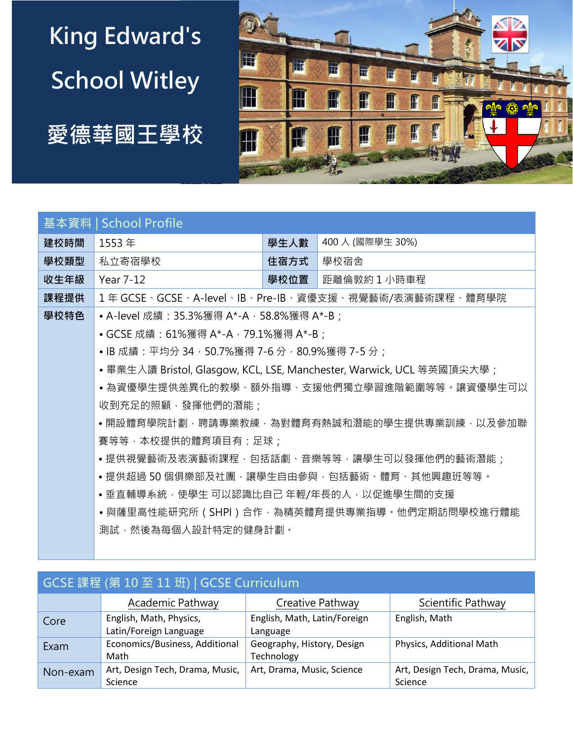**King Edward's School Witley 愛德華國王學校**



| 基本資料 | <b>School Profile</b>                                                 |      |                                                      |
|------|-----------------------------------------------------------------------|------|------------------------------------------------------|
| 建校時間 | 1553年                                                                 | 學生人數 | 400 人 (國際學生 30%)                                     |
| 學校類型 | 私立寄宿學校                                                                | 住宿方式 | 學校宿舍                                                 |
| 收生年級 | Year 7-12                                                             |      | 學校位置  距離倫敦約1小時車程                                     |
| 課程提供 |                                                                       |      | 1年 GCSE、GCSE、A-level、IB、Pre-IB、資優支援、視覺藝術/表演藝術課程、體育學院 |
| 學校特色 | • A-level 成績:35.3%獲得 A*-A,58.8%獲得 A*-B;                               |      |                                                      |
|      | • GCSE 成績:61%獲得 A*-A,79.1%獲得 A*-B;                                    |      |                                                      |
|      | ● IB 成績:平均分 34,50.7%獲得 7-6 分,80.9%獲得 7-5 分;                           |      |                                                      |
|      | • 畢業生入讀 Bristol, Glasgow, KCL, LSE, Manchester, Warwick, UCL 等英國頂尖大學; |      |                                                      |
|      | •為資優學生提供差異化的教學、額外指導、支援他們獨立學習進階範圍等等。讓資優學生可以                            |      |                                                      |
|      | 收到充足的照顧,發揮他們的潛能;                                                      |      |                                                      |
|      |                                                                       |      | •開設體育學院計劃,聘請專業教練,為對體育有熱誠和潛能的學生提供專業訓練,以及參加聯           |
|      | 賽等等,本校提供的體育項目有:足球;                                                    |      |                                                      |
|      |                                                                       |      | • 提供視覺藝術及表演藝術課程 · 包括話劇、音樂等等 · 讓學生可以發揮他們的藝術潛能 ;       |
|      |                                                                       |      | •提供超過 50 個俱樂部及社團‧讓學生自由參與‧包括藝術、體育、其他興趣班等等。            |
|      | • 垂直輔導系統 · 使學生 可以認識比自己 年輕/年長的人 · 以促進學生間的支援                            |      |                                                      |
|      |                                                                       |      | •與薩里高性能研究所 ( SHPI ) 合作,為精英體育提供專業指導。他們定期訪問學校進行體能      |
|      | 測試,然後為每個人設計特定的健身計劃。                                                   |      |                                                      |

|          | Academic Pathway                                  | Creative Pathway                         | Scientific Pathway                         |
|----------|---------------------------------------------------|------------------------------------------|--------------------------------------------|
| Core     | English, Math, Physics,<br>Latin/Foreign Language | English, Math, Latin/Foreign<br>Language | English, Math                              |
| Exam     | Economics/Business, Additional<br>Math            | Geography, History, Design<br>Technology | Physics, Additional Math                   |
| Non-exam | Art, Design Tech, Drama, Music,<br>Science        | Art, Drama, Music, Science               | Art, Design Tech, Drama, Music,<br>Science |

## **GCSE 課程 (第 10 至 11 班) | GCSE Curriculum**